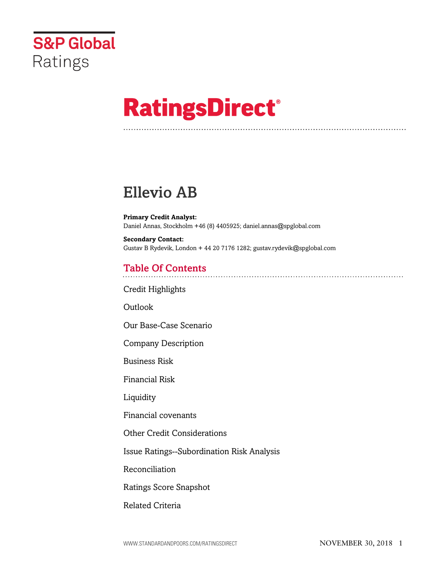

# **RatingsDirect®**

## Ellevio AB

**Primary Credit Analyst:** Daniel Annas, Stockholm +46 (8) 4405925; daniel.annas@spglobal.com

**Secondary Contact:** Gustav B Rydevik, London + 44 20 7176 1282; gustav.rydevik@spglobal.com

## Table Of Contents

[Credit Highlights](#page-1-0)

[Outlook](#page--1-0)

[Our Base-Case Scenario](#page-2-0)

[Company Description](#page-3-0)

[Business Risk](#page-4-0)

[Financial Risk](#page-6-0)

[Liquidity](#page-7-0)

[Financial covenants](#page-8-0)

[Other Credit Considerations](#page-8-1)

[Issue Ratings--Subordination Risk Analysis](#page-8-2)

[Reconciliation](#page-9-0)

[Ratings Score Snapshot](#page-10-0)

[Related Criteria](#page-11-0)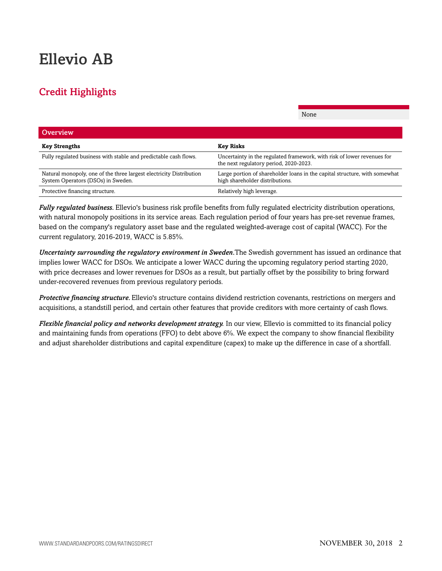## Ellevio AB

## <span id="page-1-0"></span>Credit Highlights

| <b>Overview</b>                                                                                           |                                                                                                                   |
|-----------------------------------------------------------------------------------------------------------|-------------------------------------------------------------------------------------------------------------------|
| <b>Key Strengths</b>                                                                                      | <b>Key Risks</b>                                                                                                  |
| Fully regulated business with stable and predictable cash flows.                                          | Uncertainty in the regulated framework, with risk of lower revenues for<br>the next regulatory period, 2020-2023. |
| Natural monopoly, one of the three largest electricity Distribution<br>System Operators (DSOs) in Sweden. | Large portion of shareholder loans in the capital structure, with somewhat<br>high shareholder distributions.     |
| Protective financing structure.                                                                           | Relatively high leverage.                                                                                         |

None

*Fully regulated business.* Ellevio's business risk profile benefits from fully regulated electricity distribution operations, with natural monopoly positions in its service areas. Each regulation period of four years has pre-set revenue frames, based on the company's regulatory asset base and the regulated weighted-average cost of capital (WACC). For the current regulatory, 2016-2019, WACC is 5.85%.

*Uncertainty surrounding the regulatory environment in Sweden.*The Swedish government has issued an ordinance that implies lower WACC for DSOs. We anticipate a lower WACC during the upcoming regulatory period starting 2020, with price decreases and lower revenues for DSOs as a result, but partially offset by the possibility to bring forward under-recovered revenues from previous regulatory periods.

*Protective financing structure.* Ellevio's structure contains dividend restriction covenants, restrictions on mergers and acquisitions, a standstill period, and certain other features that provide creditors with more certainty of cash flows.

*Flexible financial policy and networks development strategy.* In our view, Ellevio is committed to its financial policy and maintaining funds from operations (FFO) to debt above 6%. We expect the company to show financial flexibility and adjust shareholder distributions and capital expenditure (capex) to make up the difference in case of a shortfall.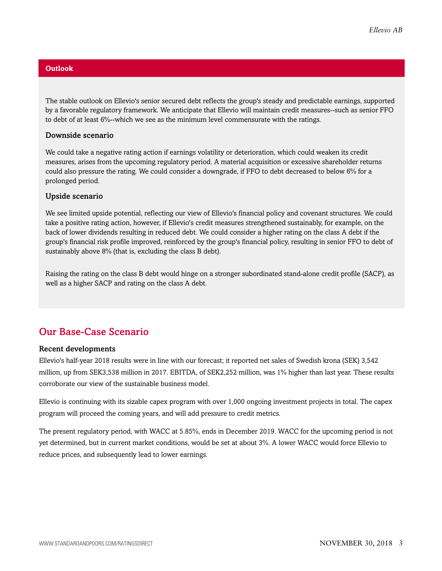#### **Outlook**

The stable outlook on Ellevio's senior secured debt reflects the group's steady and predictable earnings, supported by a favorable regulatory framework. We anticipate that Ellevio will maintain credit measures--such as senior FFO to debt of at least 6%--which we see as the minimum level commensurate with the ratings.

#### Downside scenario

We could take a negative rating action if earnings volatility or deterioration, which could weaken its credit measures, arises from the upcoming regulatory period. A material acquisition or excessive shareholder returns could also pressure the rating. We could consider a downgrade, if FFO to debt decreased to below 6% for a prolonged period.

#### Upside scenario

We see limited upside potential, reflecting our view of Ellevio's financial policy and covenant structures. We could take a positive rating action, however, if Ellevio's credit measures strengthened sustainably, for example, on the back of lower dividends resulting in reduced debt. We could consider a higher rating on the class A debt if the group's financial risk profile improved, reinforced by the group's financial policy, resulting in senior FFO to debt of sustainably above 8% (that is, excluding the class B debt).

Raising the rating on the class B debt would hinge on a stronger subordinated stand-alone credit profile (SACP), as well as a higher SACP and rating on the class A debt.

## <span id="page-2-0"></span>Our Base-Case Scenario

#### Recent developments

Ellevio's half-year 2018 results were in line with our forecast; it reported net sales of Swedish krona (SEK) 3,542 million, up from SEK3,538 million in 2017. EBITDA, of SEK2,252 million, was 1% higher than last year. These results corroborate our view of the sustainable business model.

Ellevio is continuing with its sizable capex program with over 1,000 ongoing investment projects in total. The capex program will proceed the coming years, and will add pressure to credit metrics.

The present regulatory period, with WACC at 5.85%, ends in December 2019. WACC for the upcoming period is not yet determined, but in current market conditions, would be set at about 3%. A lower WACC would force Ellevio to reduce prices, and subsequently lead to lower earnings.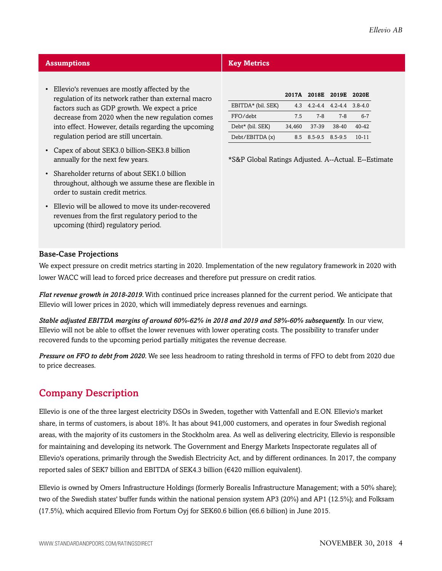| <b>Assumptions</b>                                                                                                                        | <b>Key Metrics</b>                                               |  |  |  |  |
|-------------------------------------------------------------------------------------------------------------------------------------------|------------------------------------------------------------------|--|--|--|--|
| Ellevio's revenues are mostly affected by the<br>$\bullet$<br>regulation of its network rather than external macro                        | 2017A 2018E 2019E 2020E                                          |  |  |  |  |
| factors such as GDP growth. We expect a price                                                                                             | EBITDA* (bil. SEK)<br>$4.2 - 4.4$ $4.2 - 4.4$ $3.8 - 4.0$<br>4.3 |  |  |  |  |
| decrease from 2020 when the new regulation comes                                                                                          | $6 - 7$<br>FFO/debt<br>$7 - 8$<br>$7 - 8$<br>7.5                 |  |  |  |  |
| into effect. However, details regarding the upcoming                                                                                      | Debt* (bil. SEK)<br>37-39<br>38-40<br>$40 - 42$<br>34,460        |  |  |  |  |
| regulation period are still uncertain.                                                                                                    | Debt/EBITDA(x)<br>8.5 8.5-9.5 8.5-9.5<br>$10 - 11$               |  |  |  |  |
| Capex of about SEK3.0 billion-SEK3.8 billion<br>$\bullet$<br>annually for the next few years.                                             | *S&P Global Ratings Adjusted. A--Actual. E--Estimate             |  |  |  |  |
| • Shareholder returns of about SEK1.0 billion<br>throughout, although we assume these are flexible in<br>order to sustain credit metrics. |                                                                  |  |  |  |  |
| Ellevio will be allowed to move its under-recovered<br>$\bullet$<br>revenues from the first regulatory period to the                      |                                                                  |  |  |  |  |

#### Base-Case Projections

upcoming (third) regulatory period.

We expect pressure on credit metrics starting in 2020. Implementation of the new regulatory framework in 2020 with lower WACC will lead to forced price decreases and therefore put pressure on credit ratios.

*Flat revenue growth in 2018-2019.*With continued price increases planned for the current period. We anticipate that Ellevio will lower prices in 2020, which will immediately depress revenues and earnings.

*Stable adjusted EBITDA margins of around 60%-62% in 2018 and 2019 and 58%-60% subsequently.* In our view, Ellevio will not be able to offset the lower revenues with lower operating costs. The possibility to transfer under recovered funds to the upcoming period partially mitigates the revenue decrease.

*Pressure on FFO to debt from 2020.* We see less headroom to rating threshold in terms of FFO to debt from 2020 due to price decreases.

## <span id="page-3-0"></span>Company Description

Ellevio is one of the three largest electricity DSOs in Sweden, together with Vattenfall and E.ON. Ellevio's market share, in terms of customers, is about 18%. It has about 941,000 customers, and operates in four Swedish regional areas, with the majority of its customers in the Stockholm area. As well as delivering electricity, Ellevio is responsible for maintaining and developing its network. The Government and Energy Markets Inspectorate regulates all of Ellevio's operations, primarily through the Swedish Electricity Act, and by different ordinances. In 2017, the company reported sales of SEK7 billion and EBITDA of SEK4.3 billion (€420 million equivalent).

Ellevio is owned by Omers Infrastructure Holdings (formerly Borealis Infrastructure Management; with a 50% share); two of the Swedish states' buffer funds within the national pension system AP3 (20%) and AP1 (12.5%); and Folksam (17.5%), which acquired Ellevio from Fortum Oyj for SEK60.6 billion ( $\epsilon$ 6.6 billion) in June 2015.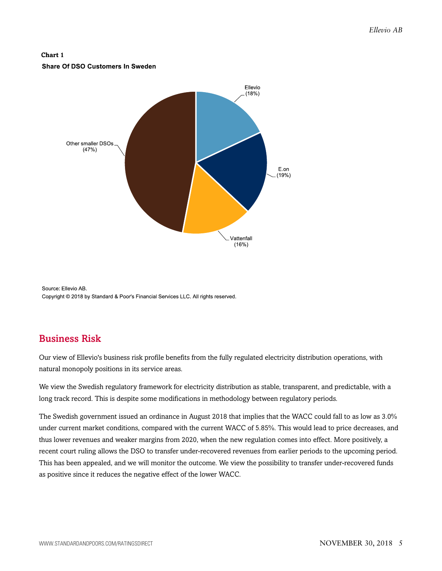#### **Chart 1** Share Of DSO Customers In Sweden



Source: Ellevio AB. Copyright @ 2018 by Standard & Poor's Financial Services LLC. All rights reserved.

## <span id="page-4-0"></span>Business Risk

Our view of Ellevio's business risk profile benefits from the fully regulated electricity distribution operations, with natural monopoly positions in its service areas.

We view the Swedish regulatory framework for electricity distribution as stable, transparent, and predictable, with a long track record. This is despite some modifications in methodology between regulatory periods.

The Swedish government issued an ordinance in August 2018 that implies that the WACC could fall to as low as 3.0% under current market conditions, compared with the current WACC of 5.85%. This would lead to price decreases, and thus lower revenues and weaker margins from 2020, when the new regulation comes into effect. More positively, a recent court ruling allows the DSO to transfer under-recovered revenues from earlier periods to the upcoming period. This has been appealed, and we will monitor the outcome. We view the possibility to transfer under-recovered funds as positive since it reduces the negative effect of the lower WACC.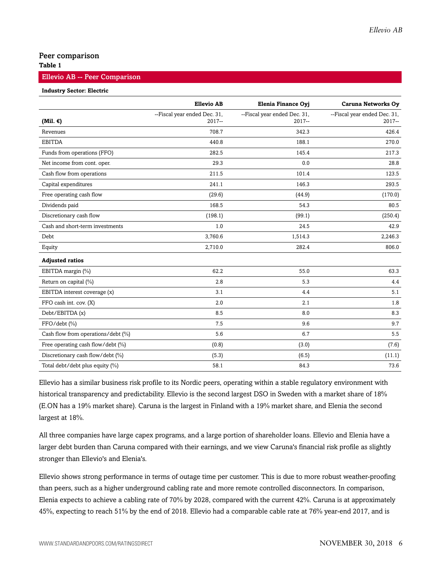#### Peer comparison

#### **Table 1**

#### Ellevio AB -- Peer Comparison

#### **Industry Sector: Electric**

|                                    | <b>Ellevio AB</b>                        | Elenia Finance Oyj                       | <b>Caruna Networks Oy</b>                |
|------------------------------------|------------------------------------------|------------------------------------------|------------------------------------------|
| (Mil. $\epsilon$ )                 | --Fiscal year ended Dec. 31,<br>$2017 -$ | --Fiscal year ended Dec. 31,<br>$2017 -$ | --Fiscal year ended Dec. 31,<br>$2017 -$ |
| Revenues                           | 708.7                                    | 342.3                                    | 426.4                                    |
| <b>EBITDA</b>                      | 440.8                                    | 188.1                                    | 270.0                                    |
| Funds from operations (FFO)        | 282.5                                    | 145.4                                    | 217.3                                    |
| Net income from cont. oper.        | 29.3                                     | 0.0                                      | 28.8                                     |
| Cash flow from operations          | 211.5                                    | 101.4                                    | 123.5                                    |
| Capital expenditures               | 241.1                                    | 146.3                                    | 293.5                                    |
| Free operating cash flow           | (29.6)                                   | (44.9)                                   | (170.0)                                  |
| Dividends paid                     | 168.5                                    | 54.3                                     | 80.5                                     |
| Discretionary cash flow            | (198.1)                                  | (99.1)                                   | (250.4)                                  |
| Cash and short-term investments    | 1.0                                      | 24.5                                     | 42.9                                     |
| Debt                               | 3,760.6                                  | 1,514.3                                  | 2,246.3                                  |
| Equity                             | 2,710.0                                  | 282.4                                    | 806.0                                    |
| <b>Adjusted ratios</b>             |                                          |                                          |                                          |
| EBITDA margin (%)                  | 62.2                                     | 55.0                                     | 63.3                                     |
| Return on capital (%)              | 2.8                                      | 5.3                                      | 4.4                                      |
| EBITDA interest coverage (x)       | 3.1                                      | 4.4                                      | 5.1                                      |
| FFO cash int. cov. (X)             | 2.0                                      | 2.1                                      | 1.8                                      |
| Debt/EBITDA (x)                    | 8.5                                      | 8.0                                      | 8.3                                      |
| FFO/debt (%)                       | 7.5                                      | 9.6                                      | 9.7                                      |
| Cash flow from operations/debt (%) | 5.6                                      | 6.7                                      | 5.5                                      |
| Free operating cash flow/debt (%)  | (0.8)                                    | (3.0)                                    | (7.6)                                    |
| Discretionary cash flow/debt (%)   | (5.3)                                    | (6.5)                                    | (11.1)                                   |
| Total debt/debt plus equity (%)    | 58.1                                     | 84.3                                     | 73.6                                     |

Ellevio has a similar business risk profile to its Nordic peers, operating within a stable regulatory environment with historical transparency and predictability. Ellevio is the second largest DSO in Sweden with a market share of 18% (E.ON has a 19% market share). Caruna is the largest in Finland with a 19% market share, and Elenia the second largest at 18%.

All three companies have large capex programs, and a large portion of shareholder loans. Ellevio and Elenia have a larger debt burden than Caruna compared with their earnings, and we view Caruna's financial risk profile as slightly stronger than Ellevio's and Elenia's.

Ellevio shows strong performance in terms of outage time per customer. This is due to more robust weather-proofing than peers, such as a higher underground cabling rate and more remote controlled disconnectors. In comparison, Elenia expects to achieve a cabling rate of 70% by 2028, compared with the current 42%. Caruna is at approximately 45%, expecting to reach 51% by the end of 2018. Ellevio had a comparable cable rate at 76% year-end 2017, and is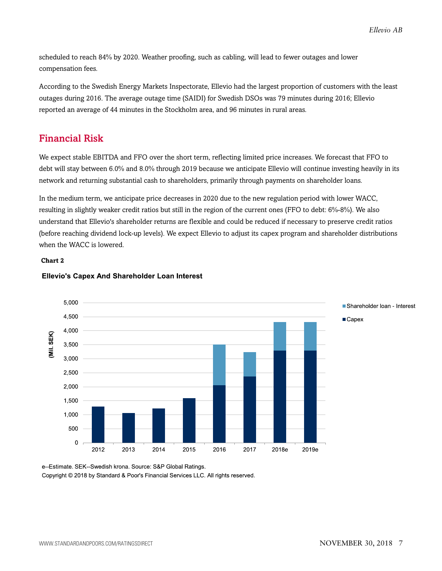*Ellevio AB*

scheduled to reach 84% by 2020. Weather proofing, such as cabling, will lead to fewer outages and lower compensation fees.

According to the Swedish Energy Markets Inspectorate, Ellevio had the largest proportion of customers with the least outages during 2016. The average outage time (SAIDI) for Swedish DSOs was 79 minutes during 2016; Ellevio reported an average of 44 minutes in the Stockholm area, and 96 minutes in rural areas.

### <span id="page-6-0"></span>Financial Risk

We expect stable EBITDA and FFO over the short term, reflecting limited price increases. We forecast that FFO to debt will stay between 6.0% and 8.0% through 2019 because we anticipate Ellevio will continue investing heavily in its network and returning substantial cash to shareholders, primarily through payments on shareholder loans.

In the medium term, we anticipate price decreases in 2020 due to the new regulation period with lower WACC, resulting in slightly weaker credit ratios but still in the region of the current ones (FFO to debt: 6%-8%). We also understand that Ellevio's shareholder returns are flexible and could be reduced if necessary to preserve credit ratios (before reaching dividend lock-up levels). We expect Ellevio to adjust its capex program and shareholder distributions when the WACC is lowered.

#### **Chart 2**



#### **Ellevio's Capex And Shareholder Loan Interest**

e--Estimate. SEK--Swedish krona. Source: S&P Global Ratings. Copyright © 2018 by Standard & Poor's Financial Services LLC. All rights reserved.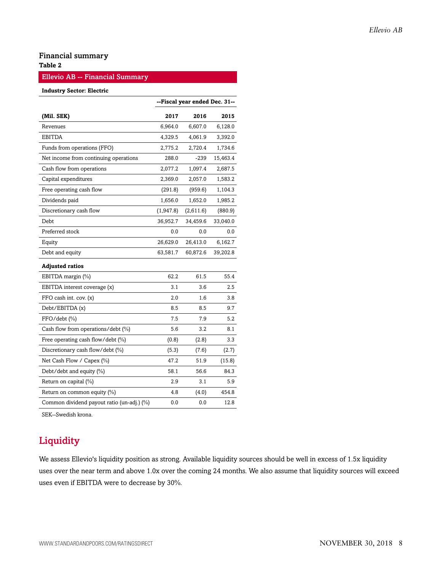#### Financial summary

#### **Table 2**

#### Ellevio AB -- Financial Summary

#### **Industry Sector: Electric**

|                                            | --Fiscal year ended Dec. 31-- |           |          |
|--------------------------------------------|-------------------------------|-----------|----------|
| (Mil. SEK)                                 | 2017                          | 2016      | 2015     |
| Revenues                                   | 6,964.0                       | 6,607.0   | 6,128.0  |
| EBITDA                                     | 4,329.5                       | 4,061.9   | 3,392.0  |
| Funds from operations (FFO)                | 2,775.2                       | 2,720.4   | 1,734.6  |
| Net income from continuing operations      | 288.0                         | $-239$    | 15,463.4 |
| Cash flow from operations                  | 2,077.2                       | 1,097.4   | 2,687.5  |
| Capital expenditures                       | 2,369.0                       | 2,057.0   | 1,583.2  |
| Free operating cash flow                   | (291.8)                       | (959.6)   | 1,104.3  |
| Dividends paid                             | 1,656.0                       | 1,652.0   | 1,985.2  |
| Discretionary cash flow                    | (1,947.8)                     | (2,611.6) | (880.9)  |
| Debt                                       | 36,952.7                      | 34,459.6  | 33,040.0 |
| Preferred stock                            | 0.0                           | 0.0       | 0.0      |
| Equity                                     | 26,629.0                      | 26,413.0  | 6,162.7  |
| Debt and equity                            | 63,581.7                      | 60,872.6  | 39,202.8 |
| <b>Adjusted ratios</b>                     |                               |           |          |
| EBITDA margin (%)                          | 62.2                          | 61.5      | 55.4     |
| EBITDA interest coverage (x)               | 3.1                           | 3.6       | 2.5      |
| FFO cash int. cov. (x)                     | 2.0                           | 1.6       | 3.8      |
| Debt/EBITDA (x)                            | 8.5                           | 8.5       | 9.7      |
| FFO/debt (%)                               | 7.5                           | 7.9       | 5.2      |
| Cash flow from operations/debt (%)         | 5.6                           | 3.2       | 8.1      |
| Free operating cash flow/debt (%)          | (0.8)                         | (2.8)     | 3.3      |
| Discretionary cash flow/debt (%)           | (5.3)                         | (7.6)     | (2.7)    |
| Net Cash Flow / Capex (%)                  | 47.2                          | 51.9      | (15.8)   |
| Debt/debt and equity (%)                   | 58.1                          | 56.6      | 84.3     |
| Return on capital (%)                      | 2.9                           | 3.1       | 5.9      |
| Return on common equity (%)                | 4.8                           | (4.0)     | 454.8    |
| Common dividend payout ratio (un-adj.) (%) | 0.0                           | 0.0       | 12.8     |

<span id="page-7-0"></span>SEK--Swedish krona.

## **Liquidity**

We assess Ellevio's liquidity position as strong. Available liquidity sources should be well in excess of 1.5x liquidity uses over the near term and above 1.0x over the coming 24 months. We also assume that liquidity sources will exceed uses even if EBITDA were to decrease by 30%.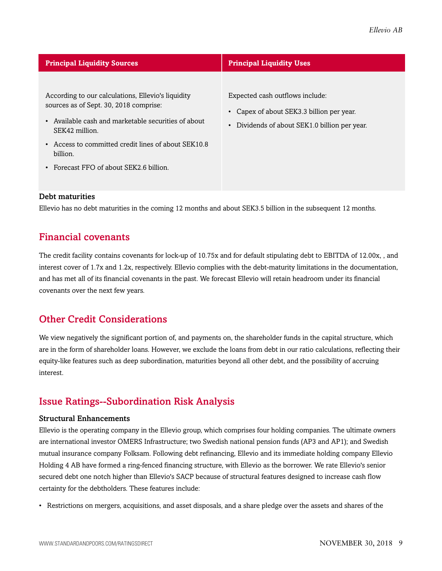| <b>Principal Liquidity Sources</b>                                                                                                                                                                                                                                            | <b>Principal Liquidity Uses</b>                                                                                                          |  |  |  |
|-------------------------------------------------------------------------------------------------------------------------------------------------------------------------------------------------------------------------------------------------------------------------------|------------------------------------------------------------------------------------------------------------------------------------------|--|--|--|
| According to our calculations, Ellevio's liquidity<br>sources as of Sept. 30, 2018 comprise:<br>Available cash and marketable securities of about<br>SEK42 million.<br>Access to committed credit lines of about SEK10.8<br>billion.<br>Forecast FFO of about SEK2.6 billion. | Expected cash outflows include:<br>• Capex of about SEK3.3 billion per year.<br>Dividends of about SEK1.0 billion per year.<br>$\bullet$ |  |  |  |

#### Debt maturities

<span id="page-8-0"></span>Ellevio has no debt maturities in the coming 12 months and about SEK3.5 billion in the subsequent 12 months.

### Financial covenants

The credit facility contains covenants for lock-up of 10.75x and for default stipulating debt to EBITDA of 12.00x, , and interest cover of 1.7x and 1.2x, respectively. Ellevio complies with the debt-maturity limitations in the documentation, and has met all of its financial covenants in the past. We forecast Ellevio will retain headroom under its financial covenants over the next few years.

## <span id="page-8-1"></span>Other Credit Considerations

We view negatively the significant portion of, and payments on, the shareholder funds in the capital structure, which are in the form of shareholder loans. However, we exclude the loans from debt in our ratio calculations, reflecting their equity-like features such as deep subordination, maturities beyond all other debt, and the possibility of accruing interest.

## <span id="page-8-2"></span>Issue Ratings--Subordination Risk Analysis

#### Structural Enhancements

Ellevio is the operating company in the Ellevio group, which comprises four holding companies. The ultimate owners are international investor OMERS Infrastructure; two Swedish national pension funds (AP3 and AP1); and Swedish mutual insurance company Folksam. Following debt refinancing, Ellevio and its immediate holding company Ellevio Holding 4 AB have formed a ring-fenced financing structure, with Ellevio as the borrower. We rate Ellevio's senior secured debt one notch higher than Ellevio's SACP because of structural features designed to increase cash flow certainty for the debtholders. These features include:

• Restrictions on mergers, acquisitions, and asset disposals, and a share pledge over the assets and shares of the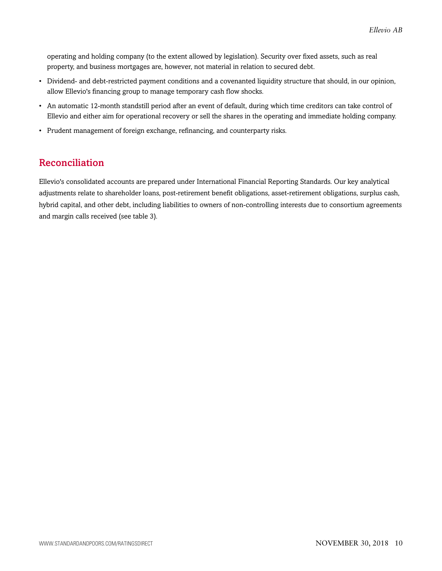operating and holding company (to the extent allowed by legislation). Security over fixed assets, such as real property, and business mortgages are, however, not material in relation to secured debt.

- Dividend- and debt-restricted payment conditions and a covenanted liquidity structure that should, in our opinion, allow Ellevio's financing group to manage temporary cash flow shocks.
- An automatic 12-month standstill period after an event of default, during which time creditors can take control of Ellevio and either aim for operational recovery or sell the shares in the operating and immediate holding company.
- Prudent management of foreign exchange, refinancing, and counterparty risks.

## <span id="page-9-0"></span>Reconciliation

Ellevio's consolidated accounts are prepared under International Financial Reporting Standards. Our key analytical adjustments relate to shareholder loans, post-retirement benefit obligations, asset-retirement obligations, surplus cash, hybrid capital, and other debt, including liabilities to owners of non-controlling interests due to consortium agreements and margin calls received (see table 3).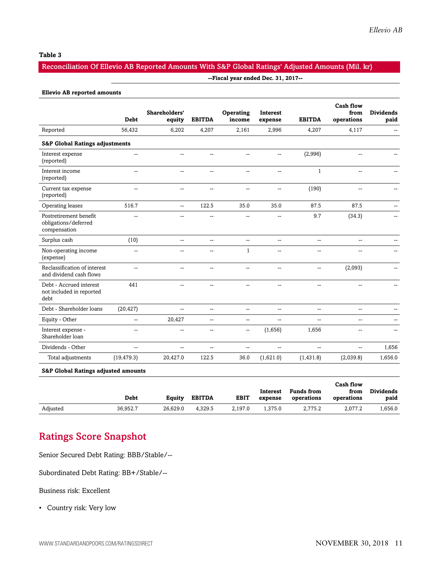#### **Table 3**

#### Reconciliation Of Ellevio AB Reported Amounts With S&P Global Ratings' Adjusted Amounts (Mil. kr)

#### **--Fiscal year ended Dec. 31, 2017--**

|                                                                | <b>Debt</b>    | Shareholders'<br>equity  | <b>EBITDA</b>            | Operating<br>income                                 | <b>Interest</b><br>expense | <b>EBITDA</b>  | <b>Cash flow</b><br>from<br>operations | <b>Dividends</b><br>paid |
|----------------------------------------------------------------|----------------|--------------------------|--------------------------|-----------------------------------------------------|----------------------------|----------------|----------------------------------------|--------------------------|
| Reported                                                       | 56,432         | 6,202                    | 4,207                    | 2,161                                               | 2,996                      | 4,207          | 4,117                                  | $\sim$                   |
| <b>S&amp;P Global Ratings adjustments</b>                      |                |                          |                          |                                                     |                            |                |                                        |                          |
| Interest expense<br>(reported)                                 |                | --                       | --                       | --                                                  | --                         | (2,996)        | --                                     |                          |
| Interest income<br>(reported)                                  |                | $\overline{a}$           | --                       | $\overline{a}$                                      | $\sim$                     | $\mathbf{1}$   | --                                     |                          |
| Current tax expense<br>(reported)                              | --             | $\overline{\phantom{a}}$ | $\overline{a}$           | $\sim$                                              | --                         | (190)          | н.                                     |                          |
| Operating leases                                               | 516.7          | $\sim$                   | 122.5                    | 35.0                                                | 35.0                       | 87.5           | 87.5                                   |                          |
| Postretirement benefit<br>obligations/deferred<br>compensation | --             | $\sim$                   | --                       | $\overline{a}$                                      | $\sim$                     | 9.7            | (34.3)                                 |                          |
| Surplus cash                                                   | (10)           | $\sim$                   | $\overline{a}$           | $\mathbf{u}$                                        | $\overline{a}$             | $\sim$ $\sim$  | $\sim$ $\sim$                          |                          |
| Non-operating income<br>(expense)                              | $\overline{a}$ | $\sim$                   | $\overline{a}$           | $\mathbf{1}$                                        | $\overline{a}$             | $\sim$         | --                                     |                          |
| Reclassification of interest<br>and dividend cash flows        | $\overline{a}$ | $\overline{a}$           | $\overline{a}$           | $\overline{a}$                                      | $\overline{a}$             | $\overline{a}$ | (2,093)                                |                          |
| Debt - Accrued interest<br>not included in reported<br>debt    | 441            | $\overline{\phantom{a}}$ | $\overline{a}$           | $\mathbf{u}$                                        | $\overline{a}$             | $\mathbf{u}$   | $\overline{\phantom{a}}$               |                          |
| Debt - Shareholder loans                                       | (20, 427)      | $\overline{\phantom{a}}$ | $\overline{\phantom{a}}$ | $\mathbf{u}$                                        | $\overline{a}$             | $\mathbf{u}$   | $\overline{a}$                         |                          |
| Equity - Other                                                 | --             | 20,427                   | $\overline{\phantom{a}}$ | $\overline{\phantom{a}}$                            | --                         | $-$            | --                                     |                          |
| Interest expense -<br>Shareholder loan                         | --             | $\overline{\phantom{a}}$ | --                       | $\hspace{0.05cm} -\hspace{0.05cm} -\hspace{0.05cm}$ | (1,656)                    | 1,656          | --                                     |                          |
| Dividends - Other                                              | --             | --                       | --                       | $\overline{a}$                                      | --                         | н.             | --                                     | 1,656                    |
| Total adjustments                                              | (19, 479.3)    | 20,427.0                 | 122.5                    | 36.0                                                | (1,621.0)                  | (1, 431.8)     | (2,039.8)                              | 1,656.0                  |

**S&P Global Ratings adjusted amounts**

|          | Debt     | Equity   | <b>EBITDA</b> | <b>EBIT</b> | Interest<br>expense | <b>Funds from</b><br>operations | Cash flow<br>from<br>operations | <b>Dividends</b><br>paid |
|----------|----------|----------|---------------|-------------|---------------------|---------------------------------|---------------------------------|--------------------------|
| Adjusted | 36.952.7 | 26.629.0 | 4.329.5       | 2.197.0     | 1.375.0             | 2.775.2                         | 2.077.2                         | .656.0.                  |

## <span id="page-10-0"></span>Ratings Score Snapshot

Senior Secured Debt Rating: BBB/Stable/--

Subordinated Debt Rating: BB+/Stable/--

Business risk: Excellent

• Country risk: Very low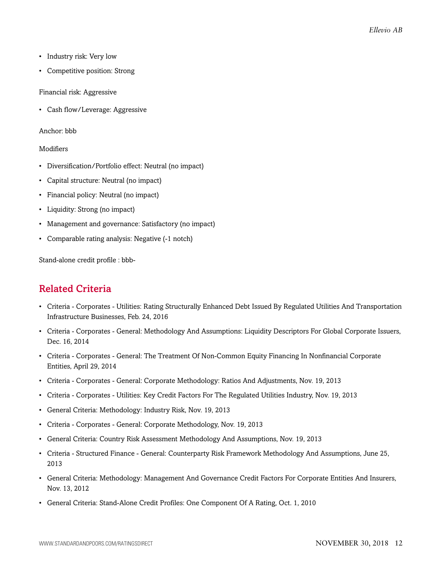- Industry risk: Very low
- Competitive position: Strong

#### Financial risk: Aggressive

• Cash flow/Leverage: Aggressive

#### Anchor: bbb

#### Modifiers

- Diversification/Portfolio effect: Neutral (no impact)
- Capital structure: Neutral (no impact)
- Financial policy: Neutral (no impact)
- Liquidity: Strong (no impact)
- Management and governance: Satisfactory (no impact)
- Comparable rating analysis: Negative (-1 notch)

<span id="page-11-0"></span>Stand-alone credit profile : bbb-

## Related Criteria

- Criteria Corporates Utilities: Rating Structurally Enhanced Debt Issued By Regulated Utilities And Transportation Infrastructure Businesses, Feb. 24, 2016
- Criteria Corporates General: Methodology And Assumptions: Liquidity Descriptors For Global Corporate Issuers, Dec. 16, 2014
- Criteria Corporates General: The Treatment Of Non-Common Equity Financing In Nonfinancial Corporate Entities, April 29, 2014
- Criteria Corporates General: Corporate Methodology: Ratios And Adjustments, Nov. 19, 2013
- Criteria Corporates Utilities: Key Credit Factors For The Regulated Utilities Industry, Nov. 19, 2013
- General Criteria: Methodology: Industry Risk, Nov. 19, 2013
- Criteria Corporates General: Corporate Methodology, Nov. 19, 2013
- General Criteria: Country Risk Assessment Methodology And Assumptions, Nov. 19, 2013
- Criteria Structured Finance General: Counterparty Risk Framework Methodology And Assumptions, June 25, 2013
- General Criteria: Methodology: Management And Governance Credit Factors For Corporate Entities And Insurers, Nov. 13, 2012
- General Criteria: Stand-Alone Credit Profiles: One Component Of A Rating, Oct. 1, 2010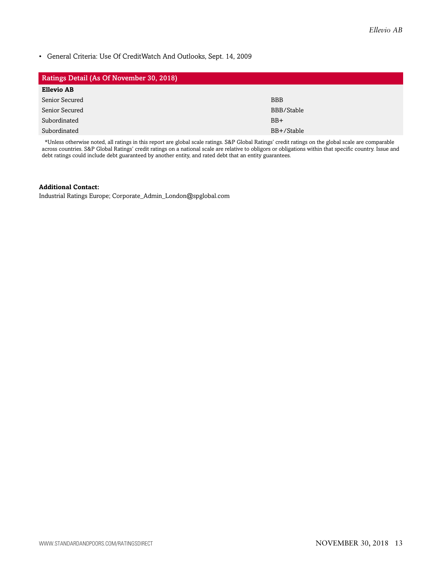• General Criteria: Use Of CreditWatch And Outlooks, Sept. 14, 2009

| <b>Ratings Detail (As Of November 30, 2018)</b> |            |  |  |  |
|-------------------------------------------------|------------|--|--|--|
| <b>Ellevio AB</b>                               |            |  |  |  |
| Senior Secured                                  | <b>BBB</b> |  |  |  |
| Senior Secured                                  | BBB/Stable |  |  |  |
| Subordinated                                    | $BB+$      |  |  |  |
| Subordinated                                    | BB+/Stable |  |  |  |

\*Unless otherwise noted, all ratings in this report are global scale ratings. S&P Global Ratings' credit ratings on the global scale are comparable across countries. S&P Global Ratings' credit ratings on a national scale are relative to obligors or obligations within that specific country. Issue and debt ratings could include debt guaranteed by another entity, and rated debt that an entity guarantees.

#### **Additional Contact:**

Industrial Ratings Europe; Corporate\_Admin\_London@spglobal.com